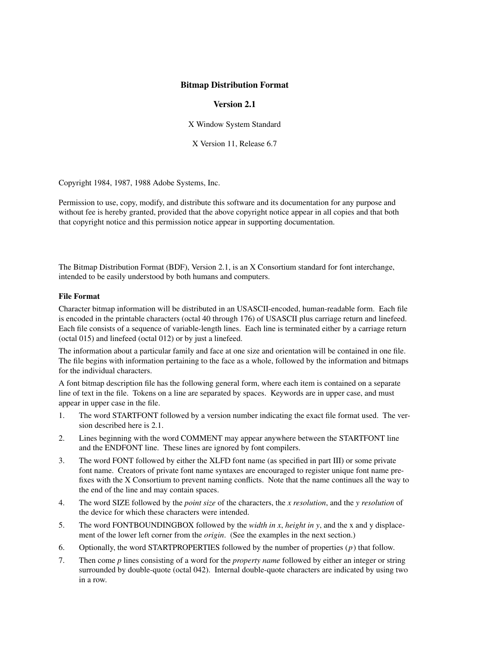## **Bitmap Distribution Format**

### **Version 2.1**

X Window System Standard

X Version 11, Release 6.7

Copyright 1984, 1987, 1988 Adobe Systems, Inc.

Permission to use, copy, modify, and distribute this software and its documentation for any purpose and without fee is hereby granted, provided that the above copyright notice appear in all copies and that both that copyright notice and this permission notice appear in supporting documentation.

The Bitmap Distribution Format (BDF), Version 2.1, is an X Consortium standard for font interchange, intended to be easily understood by both humans and computers.

#### **File Format**

Character bitmap information will be distributed in an USASCII-encoded, human-readable form. Each file is encoded in the printable characters (octal 40 through 176) of USASCII plus carriage return and linefeed. Each file consists of a sequence of variable-length lines. Each line is terminated either by a carriage return (octal 015) and linefeed (octal 012) or by just a linefeed.

The information about a particular family and face at one size and orientation will be contained in one file. The file begins with information pertaining to the face as a whole, followed by the information and bitmaps for the individual characters.

A font bitmap description file has the following general form, where each item is contained on a separate line of text in the file. Tokens on a line are separated by spaces. Keywords are in upper case, and must appear in upper case in the file.

- 1. The word STARTFONT followed by a version number indicating the exact file format used. The version described here is 2.1.
- 2. Lines beginning with the word COMMENT may appear anywhere between the STARTFONT line and the ENDFONT line. These lines are ignored by font compilers.
- 3. The word FONT followed by either the XLFD font name (as specified in part III) or some private font name. Creators of private font name syntaxes are encouraged to register unique font name prefixes with the X Consortium to prevent naming conflicts. Note that the name continues all the way to the end of the line and may contain spaces.
- 4. The word SIZE followed by the *point size* of the characters, the *x resolution*, and the *y resolution* of the device for which these characters were intended.
- 5. The word FONTBOUNDINGBOX followed by the *width in x*, *height in y*, and the x and y displacement of the lower left corner from the *origin*. (See the examples in the next section.)
- 6. Optionally, the word STARTPROPERTIES followed by the number of properties (*p*) that follow.
- 7. Then come *p* lines consisting of a word for the *property name* followed by either an integer or string surrounded by double-quote (octal 042). Internal double-quote characters are indicated by using two in a row.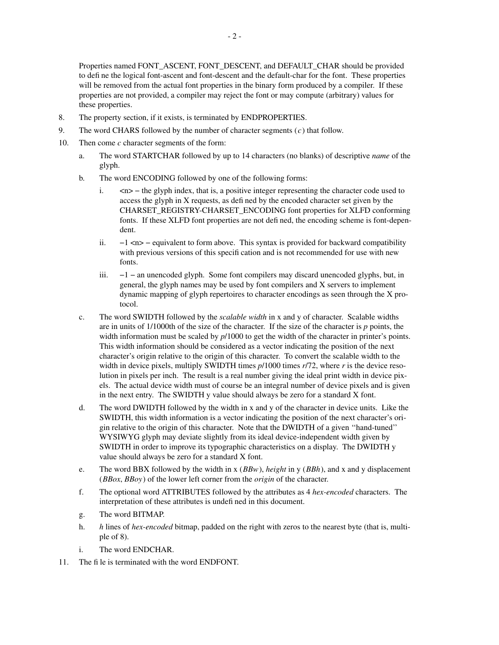Properties named FONT\_ASCENT, FONT\_DESCENT, and DEFAULT\_CHAR should be provided to define the logical font-ascent and font-descent and the default-char for the font. These properties will be removed from the actual font properties in the binary form produced by a compiler. If these properties are not provided, a compiler may reject the font or may compute (arbitrary) values for these properties.

- 8. The property section, if it exists, is terminated by ENDPROPERTIES.
- 9. The word CHARS followed by the number of character segments (*c*) that follow.
- 10. Then come *c* character segments of the form:
	- a. The word STARTCHAR followed by up to 14 characters (no blanks) of descriptive *name* of the glyph.
	- b. The word ENCODING followed by one of the following forms:
		- i. <n> − the glyph index, that is, a positive integer representing the character code used to access the glyph in X requests, as defined by the encoded character set given by the CHARSET\_REGISTRY-CHARSET\_ENCODING font properties for XLFD conforming fonts. If these XLFD font properties are not defined, the encoding scheme is font-dependent.
		- ii.  $−1$  <n> − equivalent to form above. This syntax is provided for backward compatibility with previous versions of this specification and is not recommended for use with new fonts.
		- iii. −1 − an unencoded glyph. Some font compilers may discard unencoded glyphs, but, in general, the glyph names may be used by font compilers and X servers to implement dynamic mapping of glyph repertoires to character encodings as seen through the X protocol.
	- c. The word SWIDTH followed by the *scalable width* in x and y of character. Scalable widths are in units of 1/1000th of the size of the character. If the size of the character is *p* points, the width information must be scaled by  $p/1000$  to get the width of the character in printer's points. This width information should be considered as a vector indicating the position of the next character's origin relative to the origin of this character. To convert the scalable width to the width in device pixels, multiply SWIDTH times *p*/1000 times *r*/72, where *r* is the device resolution in pixels per inch. The result is a real number giving the ideal print width in device pixels. The actual device width must of course be an integral number of device pixels and is given in the next entry. The SWIDTH y value should always be zero for a standard X font.
	- d. The word DWIDTH followed by the width in x and y of the character in device units. Like the SWIDTH, this width information is a vector indicating the position of the next character's origin relative to the origin of this character. Note that the DWIDTH of a given ''hand-tuned'' WYSIWYG glyph may deviate slightly from its ideal device-independent width given by SWIDTH in order to improve its typographic characteristics on a display. The DWIDTH y value should always be zero for a standard X font.
	- e. The word BBX followed by the width in x (*BBw*), *height* in y (*BBh*), and x and y displacement (*BBox*, *BBoy*) of the lower left corner from the *origin* of the character.
	- f. The optional word ATTRIBUTES followed by the attributes as 4 *hex-encoded* characters. The interpretation of these attributes is undefined in this document.
	- g. The word BITMAP.
	- h. *h* lines of *hex-encoded* bitmap, padded on the right with zeros to the nearest byte (that is, multiple of 8).
	- i. The word ENDCHAR.
- 11. The file is terminated with the word ENDFONT.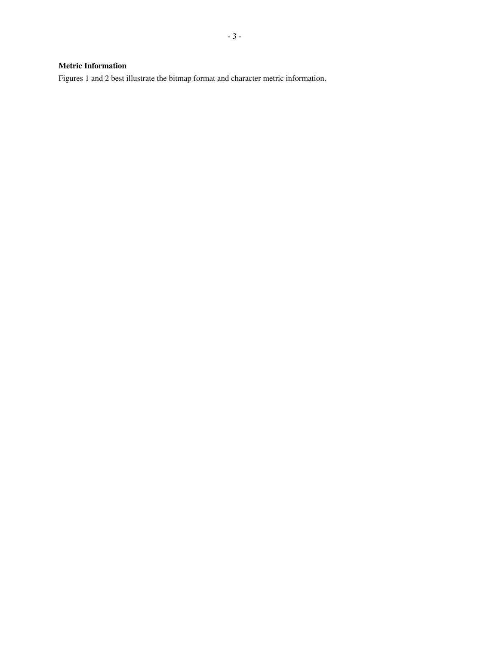# **Metric Information**

Figures 1 and 2 best illustrate the bitmap format and character metric information.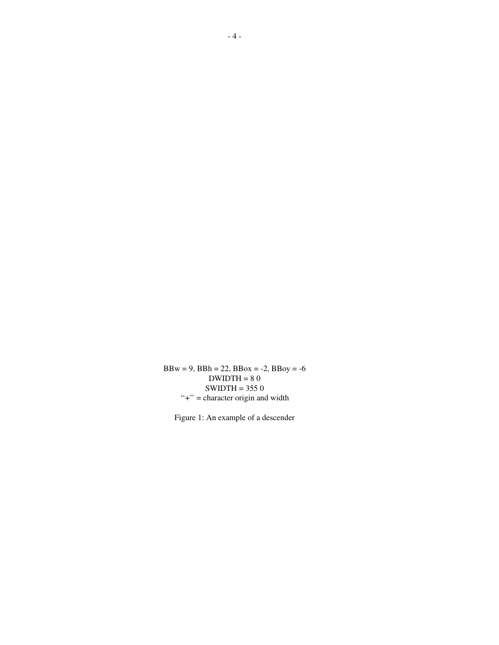$BBw = 9$ ,  $BBh = 22$ ,  $BBox = -2$ ,  $BBoy = -6$  $DWIDTH = 80$  $SWIDTH = 3550$  $"+'"$  = character origin and width

Figure 1: An example of a descender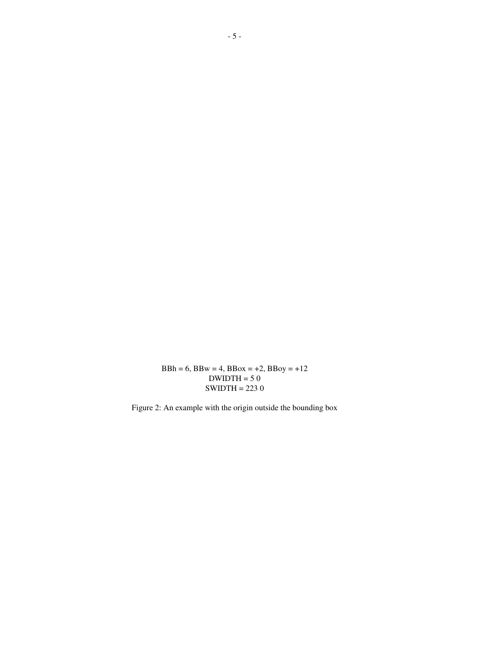$BBh = 6$ ,  $BBw = 4$ ,  $BBox = +2$ ,  $BBoy = +12$  $DWIDTH = 50$ SWIDTH = 223 0

Figure 2: An example with the origin outside the bounding box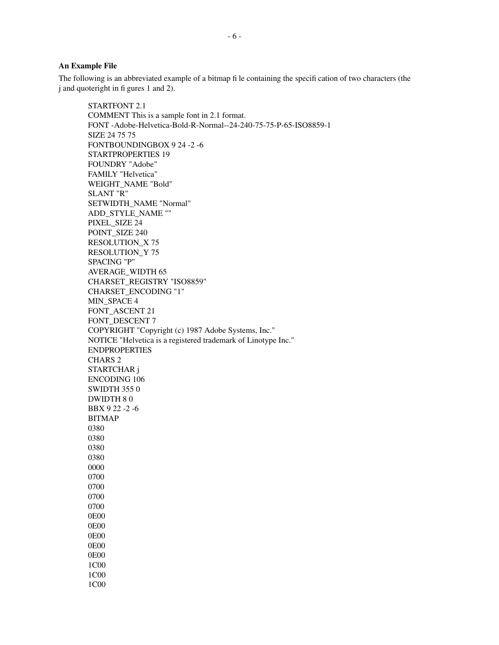#### **An Example File**

1C00

The following is an abbreviated example of a bitmap file containing the specification of two characters (the j and quoteright in figures 1 and 2).

STARTFONT 2.1 COMMENT This is a sample font in 2.1 format. FONT -Adobe-Helvetica-Bold-R-Normal--24-240-75-75-P-65-ISO8859-1 SIZE 24 75 75 FONTBOUNDINGBOX924 -2 -6 STARTPROPERTIES 19 FOUNDRY "Adobe" FAMILY "Helvetica" WEIGHT\_NAME "Bold" SLANT "R" SETWIDTH\_NAME "Normal" ADD\_STYLE\_NAME "" PIXEL\_SIZE 24 POINT\_SIZE 240 RESOLUTION\_X 75 RESOLUTION\_Y 75 SPACING "P" AVERAGE\_WIDTH 65 CHARSET\_REGISTRY "ISO8859" CHARSET\_ENCODING "1" MIN\_SPACE 4 FONT\_ASCENT 21 FONT\_DESCENT 7 COPYRIGHT "Copyright (c) 1987 Adobe Systems, Inc." NOTICE "Helvetica is a registered trademark of Linotype Inc." ENDPROPERTIES CHARS 2 STARTCHAR j ENCODING 106 SWIDTH 355 0 DWIDTH 8 0 BBX 9 22 -2 -6 BITMAP 0380 0380 0380 0380 0000 0700 0700 0700 0700 0E00 0E00 0E00 0E00 0E00 1C00 1C00